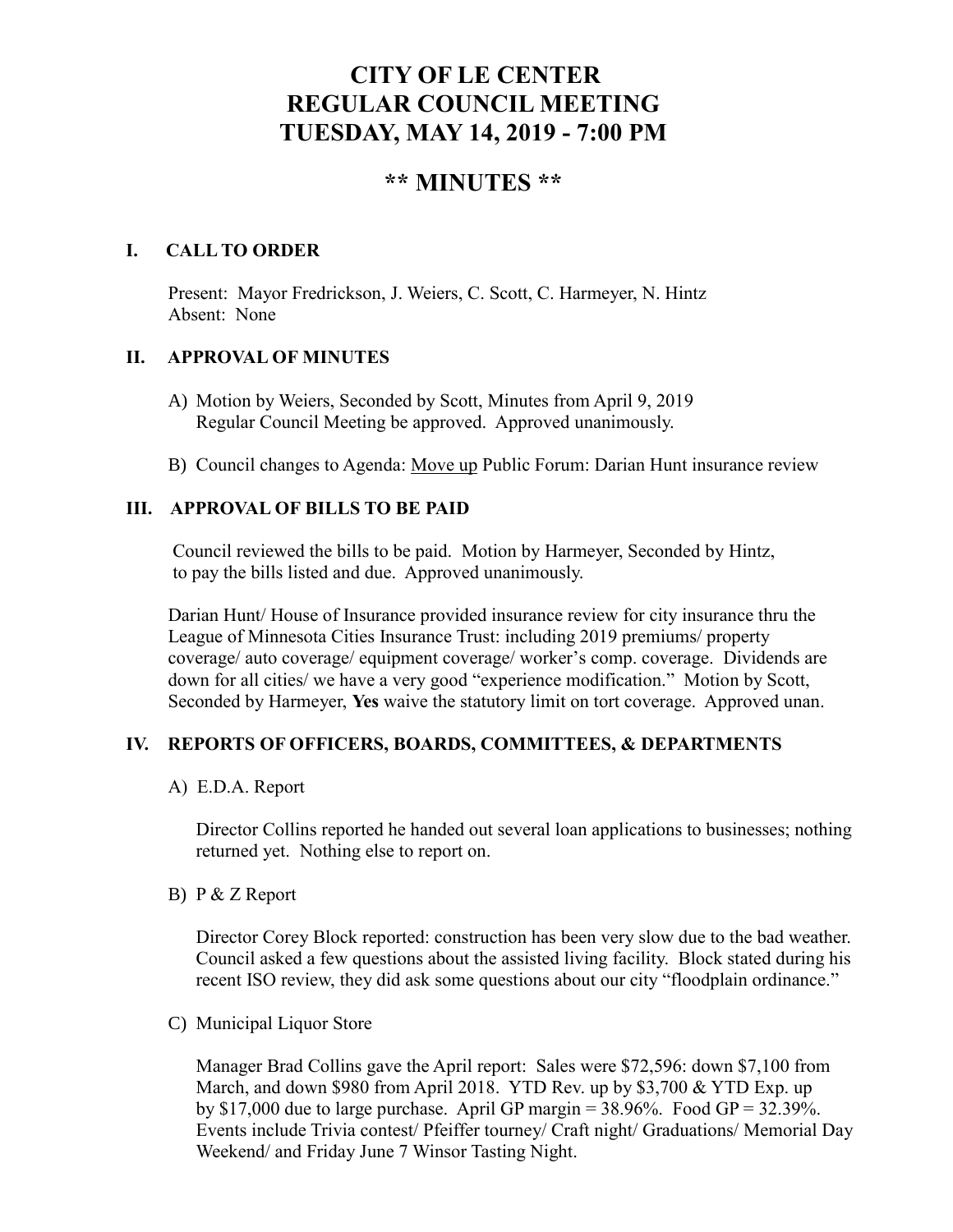# **CITY OF LE CENTER REGULAR COUNCIL MEETING TUESDAY, MAY 14, 2019 - 7:00 PM**

# **\*\* MINUTES \*\***

# **I. CALL TO ORDER**

Present: Mayor Fredrickson, J. Weiers, C. Scott, C. Harmeyer, N. Hintz Absent: None

#### **II. APPROVAL OF MINUTES**

- A) Motion by Weiers, Seconded by Scott, Minutes from April 9, 2019 Regular Council Meeting be approved. Approved unanimously.
- B) Council changes to Agenda: Move up Public Forum: Darian Hunt insurance review

# **III. APPROVAL OF BILLS TO BE PAID**

Council reviewed the bills to be paid. Motion by Harmeyer, Seconded by Hintz, to pay the bills listed and due. Approved unanimously.

Darian Hunt/ House of Insurance provided insurance review for city insurance thru the League of Minnesota Cities Insurance Trust: including 2019 premiums/ property coverage/ auto coverage/ equipment coverage/ worker's comp. coverage. Dividends are down for all cities/ we have a very good "experience modification." Motion by Scott, Seconded by Harmeyer, **Yes** waive the statutory limit on tort coverage. Approved unan.

# **IV. REPORTS OF OFFICERS, BOARDS, COMMITTEES, & DEPARTMENTS**

#### A) E.D.A. Report

 Director Collins reported he handed out several loan applications to businesses; nothing returned yet. Nothing else to report on.

B) P & Z Report

Director Corey Block reported: construction has been very slow due to the bad weather. Council asked a few questions about the assisted living facility. Block stated during his recent ISO review, they did ask some questions about our city "floodplain ordinance."

C) Municipal Liquor Store

Manager Brad Collins gave the April report: Sales were \$72,596: down \$7,100 from March, and down \$980 from April 2018. YTD Rev. up by \$3,700 & YTD Exp. up by \$17,000 due to large purchase. April GP margin  $= 38.96\%$ . Food GP  $= 32.39\%$ . Events include Trivia contest/ Pfeiffer tourney/ Craft night/ Graduations/ Memorial Day Weekend/ and Friday June 7 Winsor Tasting Night.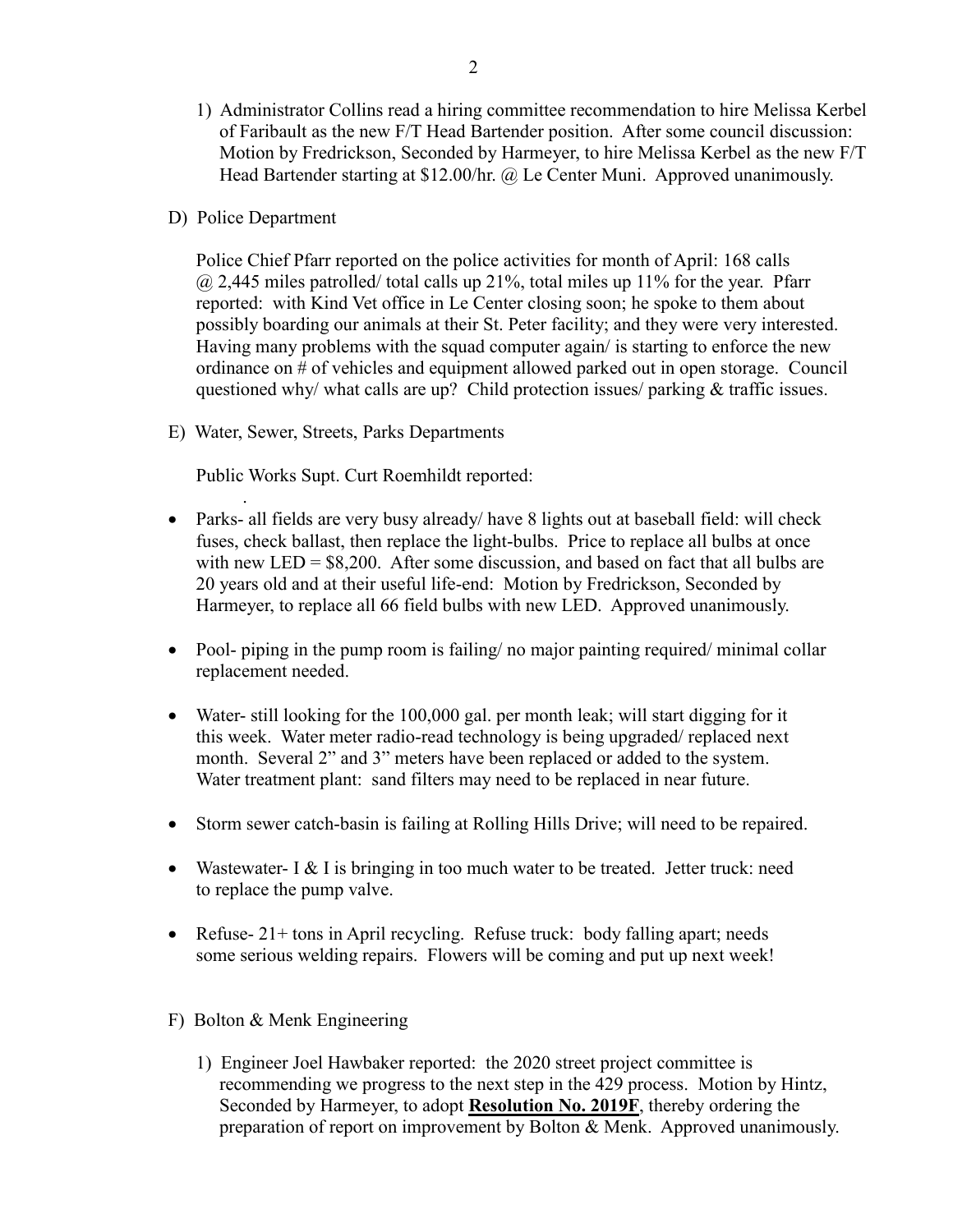- 1) Administrator Collins read a hiring committee recommendation to hire Melissa Kerbel of Faribault as the new F/T Head Bartender position. After some council discussion: Motion by Fredrickson, Seconded by Harmeyer, to hire Melissa Kerbel as the new F/T Head Bartender starting at \$12.00/hr. @ Le Center Muni. Approved unanimously.
- D) Police Department

.

Police Chief Pfarr reported on the police activities for month of April: 168 calls  $@$  2,445 miles patrolled/ total calls up 21%, total miles up 11% for the year. Pfarr reported: with Kind Vet office in Le Center closing soon; he spoke to them about possibly boarding our animals at their St. Peter facility; and they were very interested. Having many problems with the squad computer again/ is starting to enforce the new ordinance on # of vehicles and equipment allowed parked out in open storage. Council questioned why/ what calls are up? Child protection issues/ parking & traffic issues.

E) Water, Sewer, Streets, Parks Departments

Public Works Supt. Curt Roemhildt reported:

- Parks- all fields are very busy already/ have 8 lights out at baseball field: will check fuses, check ballast, then replace the light-bulbs. Price to replace all bulbs at once with new LED =  $$8,200$ . After some discussion, and based on fact that all bulbs are 20 years old and at their useful life-end: Motion by Fredrickson, Seconded by Harmeyer, to replace all 66 field bulbs with new LED. Approved unanimously.
- Pool- piping in the pump room is failing/ no major painting required/ minimal collar replacement needed.
- Water- still looking for the 100,000 gal. per month leak; will start digging for it this week. Water meter radio-read technology is being upgraded/ replaced next month. Several 2" and 3" meters have been replaced or added to the system. Water treatment plant: sand filters may need to be replaced in near future.
- Storm sewer catch-basin is failing at Rolling Hills Drive; will need to be repaired.
- Wastewater- I  $&$  I is bringing in too much water to be treated. Jetter truck: need to replace the pump valve.
- Refuse- 21+ tons in April recycling. Refuse truck: body falling apart; needs some serious welding repairs. Flowers will be coming and put up next week!
- F) Bolton & Menk Engineering
	- 1) Engineer Joel Hawbaker reported: the 2020 street project committee is recommending we progress to the next step in the 429 process. Motion by Hintz, Seconded by Harmeyer, to adopt **Resolution No. 2019F**, thereby ordering the preparation of report on improvement by Bolton & Menk. Approved unanimously.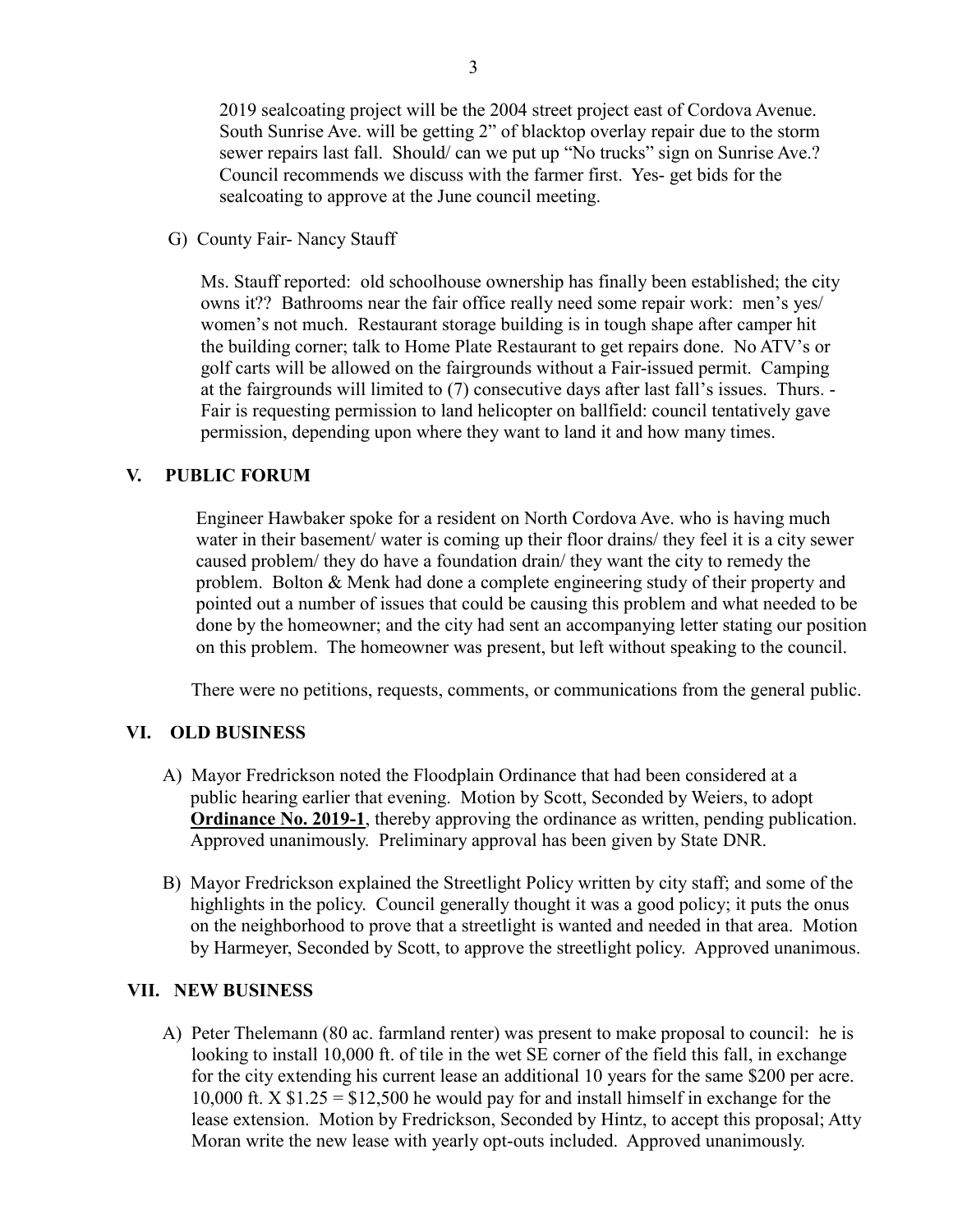2019 sealcoating project will be the 2004 street project east of Cordova Avenue. South Sunrise Ave. will be getting 2" of blacktop overlay repair due to the storm sewer repairs last fall. Should/ can we put up "No trucks" sign on Sunrise Ave.? Council recommends we discuss with the farmer first. Yes- get bids for the sealcoating to approve at the June council meeting.

G) County Fair- Nancy Stauff

 Ms. Stauff reported: old schoolhouse ownership has finally been established; the city owns it?? Bathrooms near the fair office really need some repair work: men's yes/ women's not much. Restaurant storage building is in tough shape after camper hit the building corner; talk to Home Plate Restaurant to get repairs done. No ATV's or golf carts will be allowed on the fairgrounds without a Fair-issued permit. Camping at the fairgrounds will limited to (7) consecutive days after last fall's issues. Thurs. - Fair is requesting permission to land helicopter on ballfield: council tentatively gave permission, depending upon where they want to land it and how many times.

# **V. PUBLIC FORUM**

 Engineer Hawbaker spoke for a resident on North Cordova Ave. who is having much water in their basement/ water is coming up their floor drains/ they feel it is a city sewer caused problem/ they do have a foundation drain/ they want the city to remedy the problem. Bolton & Menk had done a complete engineering study of their property and pointed out a number of issues that could be causing this problem and what needed to be done by the homeowner; and the city had sent an accompanying letter stating our position on this problem. The homeowner was present, but left without speaking to the council.

There were no petitions, requests, comments, or communications from the general public.

# **VI. OLD BUSINESS**

- A) Mayor Fredrickson noted the Floodplain Ordinance that had been considered at a public hearing earlier that evening. Motion by Scott, Seconded by Weiers, to adopt **Ordinance No. 2019-1**, thereby approving the ordinance as written, pending publication. Approved unanimously. Preliminary approval has been given by State DNR.
- B) Mayor Fredrickson explained the Streetlight Policy written by city staff; and some of the highlights in the policy. Council generally thought it was a good policy; it puts the onus on the neighborhood to prove that a streetlight is wanted and needed in that area. Motion by Harmeyer, Seconded by Scott, to approve the streetlight policy. Approved unanimous.

# **VII. NEW BUSINESS**

 A) Peter Thelemann (80 ac. farmland renter) was present to make proposal to council: he is looking to install 10,000 ft. of tile in the wet SE corner of the field this fall, in exchange for the city extending his current lease an additional 10 years for the same \$200 per acre. 10,000 ft.  $X \$ \$1.25 = \$12,500 he would pay for and install himself in exchange for the lease extension. Motion by Fredrickson, Seconded by Hintz, to accept this proposal; Atty Moran write the new lease with yearly opt-outs included. Approved unanimously.